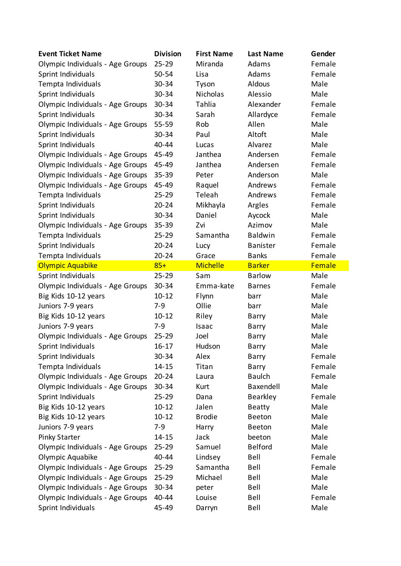| <b>Event Ticket Name</b>         | <b>Division</b> | <b>First Name</b> | <b>Last Name</b> | Gender |
|----------------------------------|-----------------|-------------------|------------------|--------|
| Olympic Individuals - Age Groups | $25 - 29$       | Miranda           | Adams            | Female |
| Sprint Individuals               | 50-54           | Lisa              | Adams            | Female |
| Tempta Individuals               | 30-34           | Tyson             | Aldous           | Male   |
| Sprint Individuals               | 30-34           | <b>Nicholas</b>   | Alessio          | Male   |
| Olympic Individuals - Age Groups | 30-34           | Tahlia            | Alexander        | Female |
| Sprint Individuals               | 30-34           | Sarah             | Allardyce        | Female |
| Olympic Individuals - Age Groups | 55-59           | Rob               | Allen            | Male   |
| Sprint Individuals               | 30-34           | Paul              | Altoft           | Male   |
| Sprint Individuals               | 40-44           | Lucas             | Alvarez          | Male   |
| Olympic Individuals - Age Groups | 45-49           | Janthea           | Andersen         | Female |
| Olympic Individuals - Age Groups | 45-49           | Janthea           | Andersen         | Female |
| Olympic Individuals - Age Groups | 35-39           | Peter             | Anderson         | Male   |
| Olympic Individuals - Age Groups | 45-49           | Raquel            | Andrews          | Female |
| Tempta Individuals               | $25 - 29$       | Teleah            | Andrews          | Female |
| Sprint Individuals               | $20 - 24$       | Mikhayla          | Argles           | Female |
| Sprint Individuals               | 30-34           | Daniel            | Aycock           | Male   |
| Olympic Individuals - Age Groups | 35-39           | Zvi               | Azimov           | Male   |
| Tempta Individuals               | $25 - 29$       | Samantha          | <b>Baldwin</b>   | Female |
| Sprint Individuals               | $20 - 24$       | Lucy              | <b>Banister</b>  | Female |
| Tempta Individuals               | $20 - 24$       | Grace             | <b>Banks</b>     | Female |
| Olympic Aquabike                 | $85+$           | <b>Michelle</b>   | <b>Barker</b>    | Female |
| Sprint Individuals               | $25 - 29$       | Sam               | <b>Barlow</b>    | Male   |
| Olympic Individuals - Age Groups | 30-34           | Emma-kate         | <b>Barnes</b>    | Female |
| Big Kids 10-12 years             | $10 - 12$       | Flynn             | barr             | Male   |
| Juniors 7-9 years                | $7-9$           | Ollie             | barr             | Male   |
| Big Kids 10-12 years             | $10 - 12$       | Riley             | Barry            | Male   |
| Juniors 7-9 years                | $7-9$           | Isaac             | Barry            | Male   |
| Olympic Individuals - Age Groups | $25 - 29$       | Joel              | <b>Barry</b>     | Male   |
| Sprint Individuals               | $16 - 17$       | Hudson            | <b>Barry</b>     | Male   |
| Sprint Individuals               | 30-34           | Alex              | <b>Barry</b>     | Female |
| Tempta Individuals               | $14 - 15$       | Titan             | Barry            | Female |
| Olympic Individuals - Age Groups | $20 - 24$       | Laura             | <b>Baulch</b>    | Female |
| Olympic Individuals - Age Groups | 30-34           | Kurt              | Baxendell        | Male   |
| Sprint Individuals               | $25 - 29$       | Dana              | <b>Bearkley</b>  | Female |
| Big Kids 10-12 years             | $10 - 12$       | Jalen             | <b>Beatty</b>    | Male   |
| Big Kids 10-12 years             | $10 - 12$       | <b>Brodie</b>     | <b>Beeton</b>    | Male   |
| Juniors 7-9 years                | $7-9$           | Harry             | <b>Beeton</b>    | Male   |
| <b>Pinky Starter</b>             | $14 - 15$       | Jack              | beeton           | Male   |
| Olympic Individuals - Age Groups | $25 - 29$       | Samuel            | <b>Belford</b>   | Male   |
| Olympic Aquabike                 | 40-44           | Lindsey           | Bell             | Female |
| Olympic Individuals - Age Groups | $25 - 29$       | Samantha          | Bell             | Female |
| Olympic Individuals - Age Groups | $25 - 29$       | Michael           | Bell             | Male   |
| Olympic Individuals - Age Groups | 30-34           | peter             | Bell             | Male   |
| Olympic Individuals - Age Groups | 40-44           | Louise            | Bell             | Female |
| Sprint Individuals               |                 |                   | Bell             |        |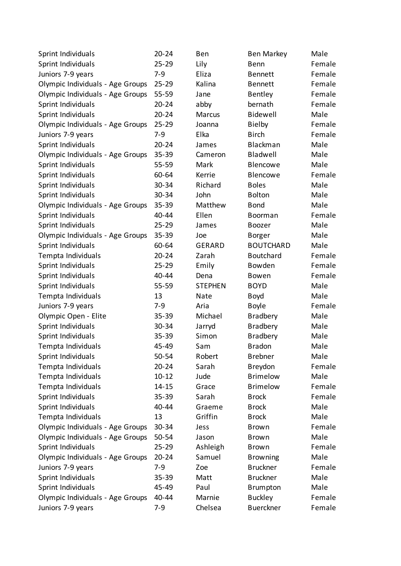| Sprint Individuals               | $20 - 24$ | Ben            | <b>Ben Markey</b> | Male   |
|----------------------------------|-----------|----------------|-------------------|--------|
| Sprint Individuals               | $25 - 29$ | Lily           | Benn              | Female |
| Juniors 7-9 years                | $7-9$     | Eliza          | <b>Bennett</b>    | Female |
| Olympic Individuals - Age Groups | $25 - 29$ | Kalina         | <b>Bennett</b>    | Female |
| Olympic Individuals - Age Groups | 55-59     | Jane           | <b>Bentley</b>    | Female |
| Sprint Individuals               | $20 - 24$ | abby           | bernath           | Female |
| Sprint Individuals               | $20 - 24$ | Marcus         | Bidewell          | Male   |
| Olympic Individuals - Age Groups | $25 - 29$ | Joanna         | <b>Bielby</b>     | Female |
| Juniors 7-9 years                | $7-9$     | Elka           | <b>Birch</b>      | Female |
| Sprint Individuals               | $20 - 24$ | James          | Blackman          | Male   |
| Olympic Individuals - Age Groups | $35 - 39$ | Cameron        | Bladwell          | Male   |
| Sprint Individuals               | $55 - 59$ | Mark           | Blencowe          | Male   |
| Sprint Individuals               | 60-64     | Kerrie         | Blencowe          | Female |
| Sprint Individuals               | 30-34     | Richard        | <b>Boles</b>      | Male   |
| Sprint Individuals               | 30-34     | John           | <b>Bolton</b>     | Male   |
| Olympic Individuals - Age Groups | $35 - 39$ | Matthew        | <b>Bond</b>       | Male   |
| Sprint Individuals               | 40-44     | Ellen          | Boorman           | Female |
| Sprint Individuals               | $25 - 29$ | James          | Boozer            | Male   |
| Olympic Individuals - Age Groups | 35-39     | Joe            | <b>Borger</b>     | Male   |
| Sprint Individuals               | 60-64     | <b>GERARD</b>  | <b>BOUTCHARD</b>  | Male   |
| Tempta Individuals               | $20 - 24$ | Zarah          | <b>Boutchard</b>  | Female |
| Sprint Individuals               | $25 - 29$ | Emily          | Bowden            | Female |
| Sprint Individuals               | 40-44     | Dena           | Bowen             | Female |
| Sprint Individuals               | 55-59     | <b>STEPHEN</b> | <b>BOYD</b>       | Male   |
| Tempta Individuals               | 13        | Nate           | Boyd              | Male   |
| Juniors 7-9 years                | $7-9$     | Aria           | <b>Boyle</b>      | Female |
| Olympic Open - Elite             | 35-39     | Michael        | <b>Bradbery</b>   | Male   |
| Sprint Individuals               | 30-34     | Jarryd         | <b>Bradbery</b>   | Male   |
| Sprint Individuals               | $35 - 39$ | Simon          | <b>Bradbery</b>   | Male   |
| Tempta Individuals               | 45-49     | Sam            | <b>Bradon</b>     | Male   |
| Sprint Individuals               | 50-54     | Robert         | <b>Brebner</b>    | Male   |
| Tempta Individuals               | $20 - 24$ | Sarah          | Breydon           | Female |
| Tempta Individuals               | $10 - 12$ | Jude           | <b>Brimelow</b>   | Male   |
| Tempta Individuals               | $14 - 15$ | Grace          | <b>Brimelow</b>   | Female |
| Sprint Individuals               | $35 - 39$ | Sarah          | <b>Brock</b>      | Female |
| Sprint Individuals               | 40-44     | Graeme         | <b>Brock</b>      | Male   |
| Tempta Individuals               | 13        | Griffin        | <b>Brock</b>      | Male   |
| Olympic Individuals - Age Groups | 30-34     | Jess           | <b>Brown</b>      | Female |
| Olympic Individuals - Age Groups | 50-54     | Jason          | <b>Brown</b>      | Male   |
| Sprint Individuals               | $25 - 29$ | Ashleigh       | <b>Brown</b>      | Female |
| Olympic Individuals - Age Groups | $20 - 24$ | Samuel         | <b>Browning</b>   | Male   |
| Juniors 7-9 years                | $7-9$     | Zoe            | <b>Bruckner</b>   | Female |
| Sprint Individuals               | 35-39     | Matt           | <b>Bruckner</b>   | Male   |
| Sprint Individuals               | 45-49     | Paul           | Brumpton          | Male   |
| Olympic Individuals - Age Groups | 40-44     | Marnie         | <b>Buckley</b>    | Female |
| Juniors 7-9 years                | $7-9$     | Chelsea        | <b>Buerckner</b>  | Female |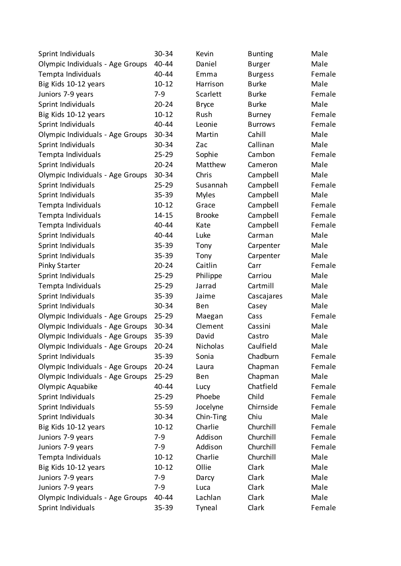| Sprint Individuals               | 30-34     | Kevin         | <b>Bunting</b> | Male   |
|----------------------------------|-----------|---------------|----------------|--------|
| Olympic Individuals - Age Groups | 40-44     | Daniel        | <b>Burger</b>  | Male   |
| Tempta Individuals               | 40-44     | Emma          | <b>Burgess</b> | Female |
| Big Kids 10-12 years             | $10 - 12$ | Harrison      | <b>Burke</b>   | Male   |
| Juniors 7-9 years                | $7-9$     | Scarlett      | <b>Burke</b>   | Female |
| Sprint Individuals               | $20 - 24$ | <b>Bryce</b>  | <b>Burke</b>   | Male   |
| Big Kids 10-12 years             | $10 - 12$ | Rush          | <b>Burney</b>  | Female |
| Sprint Individuals               | 40-44     | Leonie        | <b>Burrows</b> | Female |
| Olympic Individuals - Age Groups | 30-34     | Martin        | Cahill         | Male   |
| Sprint Individuals               | 30-34     | Zac           | Callinan       | Male   |
| Tempta Individuals               | $25 - 29$ | Sophie        | Cambon         | Female |
| Sprint Individuals               | $20 - 24$ | Matthew       | Cameron        | Male   |
| Olympic Individuals - Age Groups | 30-34     | Chris         | Campbell       | Male   |
| Sprint Individuals               | $25 - 29$ | Susannah      | Campbell       | Female |
| Sprint Individuals               | 35-39     | <b>Myles</b>  | Campbell       | Male   |
| Tempta Individuals               | $10 - 12$ | Grace         | Campbell       | Female |
| Tempta Individuals               | $14 - 15$ | <b>Brooke</b> | Campbell       | Female |
| Tempta Individuals               | 40-44     | Kate          | Campbell       | Female |
| Sprint Individuals               | 40-44     | Luke          | Carman         | Male   |
| Sprint Individuals               | $35 - 39$ | Tony          | Carpenter      | Male   |
| Sprint Individuals               | 35-39     | Tony          | Carpenter      | Male   |
| Pinky Starter                    | $20 - 24$ | Caitlin       | Carr           | Female |
| Sprint Individuals               | $25 - 29$ | Philippe      | Carriou        | Male   |
| Tempta Individuals               | $25 - 29$ | Jarrad        | Cartmill       | Male   |
| Sprint Individuals               | $35 - 39$ | Jaime         | Cascajares     | Male   |
| Sprint Individuals               | 30-34     | Ben           | Casey          | Male   |
| Olympic Individuals - Age Groups | $25 - 29$ | Maegan        | Cass           | Female |
| Olympic Individuals - Age Groups | 30-34     | Clement       | Cassini        | Male   |
| Olympic Individuals - Age Groups | 35-39     | David         | Castro         | Male   |
| Olympic Individuals - Age Groups | $20 - 24$ | Nicholas      | Caulfield      | Male   |
| Sprint Individuals               | 35-39     | Sonia         | Chadburn       | Female |
| Olympic Individuals - Age Groups | $20 - 24$ | Laura         | Chapman        | Female |
| Olympic Individuals - Age Groups | $25 - 29$ | <b>Ben</b>    | Chapman        | Male   |
| Olympic Aquabike                 | 40-44     | Lucy          | Chatfield      | Female |
| Sprint Individuals               | $25 - 29$ | Phoebe        | Child          | Female |
| Sprint Individuals               | 55-59     | Jocelyne      | Chirnside      | Female |
| Sprint Individuals               | 30-34     | Chin-Ting     | Chiu           | Male   |
| Big Kids 10-12 years             | $10 - 12$ | Charlie       | Churchill      | Female |
| Juniors 7-9 years                | $7-9$     | Addison       | Churchill      | Female |
| Juniors 7-9 years                | $7-9$     | Addison       | Churchill      | Female |
| Tempta Individuals               | $10 - 12$ | Charlie       | Churchill      | Male   |
| Big Kids 10-12 years             | $10 - 12$ | Ollie         | Clark          | Male   |
| Juniors 7-9 years                | $7-9$     | Darcy         | Clark          | Male   |
| Juniors 7-9 years                | $7-9$     | Luca          | Clark          | Male   |
| Olympic Individuals - Age Groups | 40-44     | Lachlan       | Clark          | Male   |
| Sprint Individuals               | $35 - 39$ | Tyneal        | Clark          | Female |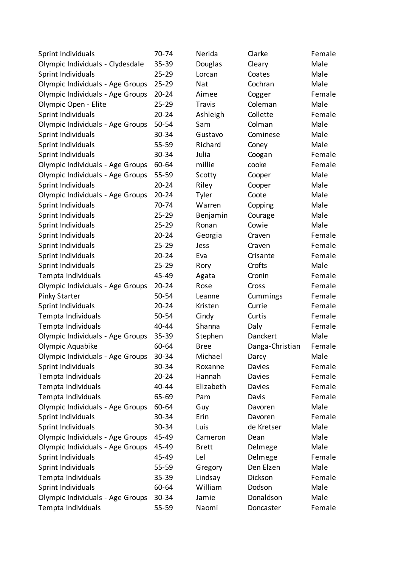| Sprint Individuals               | 70-74     | Nerida        | Clarke          | Female |
|----------------------------------|-----------|---------------|-----------------|--------|
| Olympic Individuals - Clydesdale | 35-39     | Douglas       | Cleary          | Male   |
| Sprint Individuals               | $25 - 29$ | Lorcan        | Coates          | Male   |
| Olympic Individuals - Age Groups | $25 - 29$ | Nat           | Cochran         | Male   |
| Olympic Individuals - Age Groups | $20 - 24$ | Aimee         | Cogger          | Female |
| Olympic Open - Elite             | $25 - 29$ | <b>Travis</b> | Coleman         | Male   |
| Sprint Individuals               | $20 - 24$ | Ashleigh      | Collette        | Female |
| Olympic Individuals - Age Groups | 50-54     | Sam           | Colman          | Male   |
| Sprint Individuals               | 30-34     | Gustavo       | Cominese        | Male   |
| Sprint Individuals               | 55-59     | Richard       | Coney           | Male   |
| Sprint Individuals               | 30-34     | Julia         | Coogan          | Female |
| Olympic Individuals - Age Groups | 60-64     | millie        | cooke           | Female |
| Olympic Individuals - Age Groups | 55-59     | Scotty        | Cooper          | Male   |
| Sprint Individuals               | $20 - 24$ | Riley         | Cooper          | Male   |
| Olympic Individuals - Age Groups | $20 - 24$ | Tyler         | Coote           | Male   |
| Sprint Individuals               | 70-74     | Warren        | Copping         | Male   |
| Sprint Individuals               | $25 - 29$ | Benjamin      | Courage         | Male   |
| Sprint Individuals               | $25 - 29$ | Ronan         | Cowie           | Male   |
| Sprint Individuals               | $20 - 24$ | Georgia       | Craven          | Female |
| Sprint Individuals               | $25 - 29$ | Jess          | Craven          | Female |
| Sprint Individuals               | $20 - 24$ | Eva           | Crisante        | Female |
| Sprint Individuals               | $25 - 29$ | Rory          | Crofts          | Male   |
| Tempta Individuals               | 45-49     | Agata         | Cronin          | Female |
| Olympic Individuals - Age Groups | $20 - 24$ | Rose          | Cross           | Female |
| <b>Pinky Starter</b>             | 50-54     | Leanne        | Cummings        | Female |
| Sprint Individuals               | $20 - 24$ | Kristen       | Currie          | Female |
| Tempta Individuals               | 50-54     | Cindy         | Curtis          | Female |
| Tempta Individuals               | 40-44     | Shanna        | Daly            | Female |
| Olympic Individuals - Age Groups | 35-39     | Stephen       | Danckert        | Male   |
| Olympic Aquabike                 | 60-64     | <b>Bree</b>   | Danga-Christian | Female |
| Olympic Individuals - Age Groups | 30-34     | Michael       | Darcy           | Male   |
| Sprint Individuals               | 30-34     | Roxanne       | Davies          | Female |
| Tempta Individuals               | $20 - 24$ | Hannah        | Davies          | Female |
| Tempta Individuals               | 40-44     | Elizabeth     | Davies          | Female |
| Tempta Individuals               | 65-69     | Pam           | Davis           | Female |
| Olympic Individuals - Age Groups | 60-64     | Guy           | Davoren         | Male   |
| Sprint Individuals               | 30-34     | Erin          | Davoren         | Female |
| Sprint Individuals               | 30-34     | Luis          | de Kretser      | Male   |
| Olympic Individuals - Age Groups | 45-49     | Cameron       | Dean            | Male   |
| Olympic Individuals - Age Groups | 45-49     | <b>Brett</b>  | Delmege         | Male   |
| Sprint Individuals               | 45-49     | Lel           | Delmege         | Female |
| Sprint Individuals               | 55-59     | Gregory       | Den Elzen       | Male   |
| Tempta Individuals               | 35-39     | Lindsay       | Dickson         | Female |
| Sprint Individuals               | 60-64     | William       | Dodson          | Male   |
| Olympic Individuals - Age Groups | 30-34     | Jamie         | Donaldson       | Male   |
| Tempta Individuals               | 55-59     | Naomi         | Doncaster       | Female |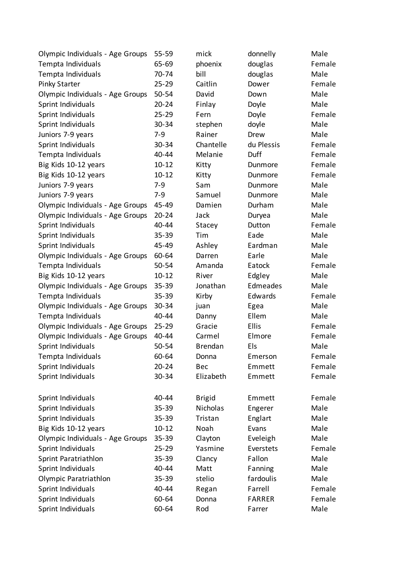| Olympic Individuals - Age Groups | 55-59     | mick           | donnelly      | Male   |
|----------------------------------|-----------|----------------|---------------|--------|
| Tempta Individuals               | 65-69     | phoenix        | douglas       | Female |
| Tempta Individuals               | 70-74     | bill           | douglas       | Male   |
| <b>Pinky Starter</b>             | $25 - 29$ | Caitlin        | Dower         | Female |
| Olympic Individuals - Age Groups | 50-54     | David          | Down          | Male   |
| Sprint Individuals               | $20 - 24$ | Finlay         | Doyle         | Male   |
| Sprint Individuals               | $25 - 29$ | Fern           | Doyle         | Female |
| Sprint Individuals               | $30 - 34$ | stephen        | doyle         | Male   |
| Juniors 7-9 years                | $7 - 9$   | Rainer         | Drew          | Male   |
| Sprint Individuals               | 30-34     | Chantelle      | du Plessis    | Female |
| Tempta Individuals               | 40-44     | Melanie        | Duff          | Female |
| Big Kids 10-12 years             | $10 - 12$ | Kitty          | Dunmore       | Female |
| Big Kids 10-12 years             | $10 - 12$ | Kitty          | Dunmore       | Female |
| Juniors 7-9 years                | $7-9$     | Sam            | Dunmore       | Male   |
| Juniors 7-9 years                | $7-9$     | Samuel         | Dunmore       | Male   |
| Olympic Individuals - Age Groups | 45-49     | Damien         | Durham        | Male   |
| Olympic Individuals - Age Groups | $20 - 24$ | Jack           | Duryea        | Male   |
| Sprint Individuals               | 40-44     | Stacey         | Dutton        | Female |
| Sprint Individuals               | 35-39     | Tim            | Eade          | Male   |
| Sprint Individuals               | 45-49     | Ashley         | Eardman       | Male   |
| Olympic Individuals - Age Groups | 60-64     | Darren         | Earle         | Male   |
| Tempta Individuals               | 50-54     | Amanda         | Eatock        | Female |
| Big Kids 10-12 years             | $10 - 12$ | River          | Edgley        | Male   |
| Olympic Individuals - Age Groups | $35 - 39$ | Jonathan       | Edmeades      | Male   |
| Tempta Individuals               | $35 - 39$ | Kirby          | Edwards       | Female |
| Olympic Individuals - Age Groups | 30-34     | juan           | Egea          | Male   |
| Tempta Individuals               | 40-44     | Danny          | Ellem         | Male   |
| Olympic Individuals - Age Groups | $25 - 29$ | Gracie         | <b>Ellis</b>  | Female |
| Olympic Individuals - Age Groups | 40-44     | Carmel         | Elmore        | Female |
| Sprint Individuals               | 50-54     | <b>Brendan</b> | Els           | Male   |
| Tempta Individuals               | 60-64     | Donna          | Emerson       | Female |
| Sprint Individuals               | $20 - 24$ | Bec            | Emmett        | Female |
| Sprint Individuals               | 30-34     | Elizabeth      | Emmett        | Female |
|                                  |           |                |               |        |
| Sprint Individuals               | 40-44     | <b>Brigid</b>  | Emmett        | Female |
| Sprint Individuals               | 35-39     | Nicholas       | Engerer       | Male   |
| Sprint Individuals               | 35-39     | Tristan        | Englart       | Male   |
| Big Kids 10-12 years             | $10 - 12$ | Noah           | Evans         | Male   |
| Olympic Individuals - Age Groups | $35 - 39$ | Clayton        | Eveleigh      | Male   |
| Sprint Individuals               | $25 - 29$ | Yasmine        | Everstets     | Female |
| Sprint Paratriathlon             | 35-39     | Clancy         | Fallon        | Male   |
| Sprint Individuals               | 40-44     | Matt           | Fanning       | Male   |
| Olympic Paratriathlon            | 35-39     | stelio         | fardoulis     | Male   |
| Sprint Individuals               | 40-44     | Regan          | Farrell       | Female |
| Sprint Individuals               | 60-64     | Donna          | <b>FARRER</b> | Female |
| Sprint Individuals               | 60-64     | Rod            | Farrer        | Male   |
|                                  |           |                |               |        |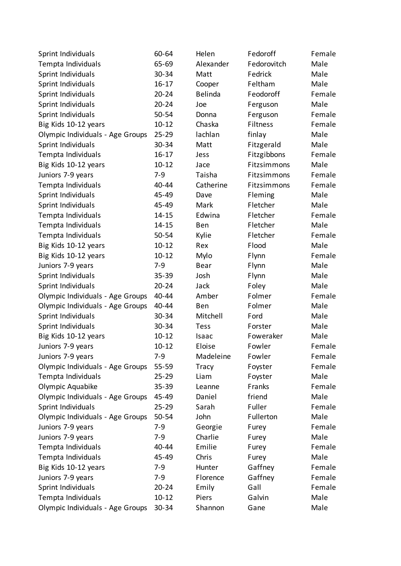| Sprint Individuals               | 60-64     | Helen       | Fedoroff    | Female |
|----------------------------------|-----------|-------------|-------------|--------|
| Tempta Individuals               | 65-69     | Alexander   | Fedorovitch | Male   |
| Sprint Individuals               | 30-34     | Matt        | Fedrick     | Male   |
| Sprint Individuals               | $16 - 17$ | Cooper      | Feltham     | Male   |
| Sprint Individuals               | $20 - 24$ | Belinda     | Feodoroff   | Female |
| Sprint Individuals               | $20 - 24$ | Joe         | Ferguson    | Male   |
| Sprint Individuals               | 50-54     | Donna       | Ferguson    | Female |
| Big Kids 10-12 years             | $10 - 12$ | Chaska      | Filtness    | Female |
| Olympic Individuals - Age Groups | 25-29     | lachlan     | finlay      | Male   |
| Sprint Individuals               | 30-34     | Matt        | Fitzgerald  | Male   |
| Tempta Individuals               | $16 - 17$ | Jess        | Fitzgibbons | Female |
| Big Kids 10-12 years             | $10 - 12$ | Jace        | Fitzsimmons | Male   |
| Juniors 7-9 years                | $7 - 9$   | Taisha      | Fitzsimmons | Female |
| Tempta Individuals               | 40-44     | Catherine   | Fitzsimmons | Female |
| Sprint Individuals               | 45-49     | Dave        | Fleming     | Male   |
| Sprint Individuals               | 45-49     | Mark        | Fletcher    | Male   |
| Tempta Individuals               | $14 - 15$ | Edwina      | Fletcher    | Female |
| Tempta Individuals               | $14 - 15$ | Ben         | Fletcher    | Male   |
| Tempta Individuals               | 50-54     | Kylie       | Fletcher    | Female |
| Big Kids 10-12 years             | $10 - 12$ | Rex         | Flood       | Male   |
| Big Kids 10-12 years             | $10 - 12$ | Mylo        | Flynn       | Female |
| Juniors 7-9 years                | $7 - 9$   | <b>Bear</b> | Flynn       | Male   |
| Sprint Individuals               | 35-39     | Josh        | Flynn       | Male   |
| Sprint Individuals               | $20 - 24$ | Jack        | Foley       | Male   |
| Olympic Individuals - Age Groups | 40-44     | Amber       | Folmer      | Female |
| Olympic Individuals - Age Groups | 40-44     | Ben         | Folmer      | Male   |
| Sprint Individuals               | 30-34     | Mitchell    | Ford        | Male   |
| Sprint Individuals               | 30-34     | <b>Tess</b> | Forster     | Male   |
| Big Kids 10-12 years             | $10 - 12$ | Isaac       | Foweraker   | Male   |
| Juniors 7-9 years                | $10 - 12$ | Eloise      | Fowler      | Female |
| Juniors 7-9 years                | $7 - 9$   | Madeleine   | Fowler      | Female |
| Olympic Individuals - Age Groups | 55-59     | Tracy       | Foyster     | Female |
| Tempta Individuals               | $25 - 29$ | Liam        | Foyster     | Male   |
| Olympic Aquabike                 | 35-39     | Leanne      | Franks      | Female |
| Olympic Individuals - Age Groups | 45-49     | Daniel      | friend      | Male   |
| Sprint Individuals               | $25 - 29$ | Sarah       | Fuller      | Female |
| Olympic Individuals - Age Groups | 50-54     | John        | Fullerton   | Male   |
| Juniors 7-9 years                | $7 - 9$   | Georgie     | Furey       | Female |
| Juniors 7-9 years                | $7 - 9$   | Charlie     | Furey       | Male   |
| Tempta Individuals               | 40-44     | Emilie      | Furey       | Female |
| Tempta Individuals               | 45-49     | Chris       | Furey       | Male   |
| Big Kids 10-12 years             | $7 - 9$   | Hunter      | Gaffney     | Female |
| Juniors 7-9 years                | $7 - 9$   | Florence    | Gaffney     | Female |
| Sprint Individuals               | $20 - 24$ | Emily       | Gall        | Female |
| Tempta Individuals               | $10 - 12$ | Piers       | Galvin      | Male   |
| Olympic Individuals - Age Groups | 30-34     | Shannon     | Gane        | Male   |
|                                  |           |             |             |        |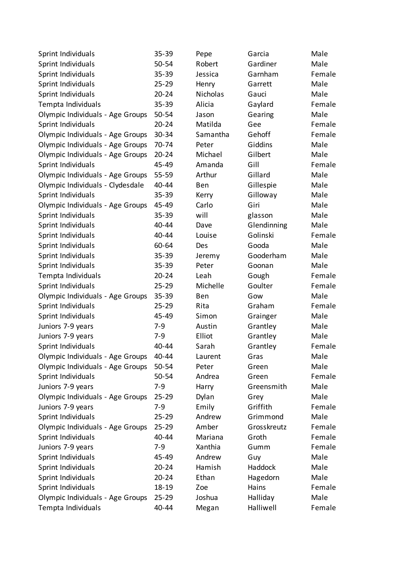| Sprint Individuals               | 35-39     | Pepe     | Garcia      | Male   |
|----------------------------------|-----------|----------|-------------|--------|
| Sprint Individuals               | 50-54     | Robert   | Gardiner    | Male   |
| Sprint Individuals               | $35 - 39$ | Jessica  | Garnham     | Female |
| Sprint Individuals               | $25 - 29$ | Henry    | Garrett     | Male   |
| Sprint Individuals               | $20 - 24$ | Nicholas | Gauci       | Male   |
| Tempta Individuals               | $35 - 39$ | Alicia   | Gaylard     | Female |
| Olympic Individuals - Age Groups | 50-54     | Jason    | Gearing     | Male   |
| Sprint Individuals               | $20 - 24$ | Matilda  | Gee         | Female |
| Olympic Individuals - Age Groups | 30-34     | Samantha | Gehoff      | Female |
| Olympic Individuals - Age Groups | 70-74     | Peter    | Giddins     | Male   |
| Olympic Individuals - Age Groups | $20 - 24$ | Michael  | Gilbert     | Male   |
| Sprint Individuals               | 45-49     | Amanda   | Gill        | Female |
| Olympic Individuals - Age Groups | $55 - 59$ | Arthur   | Gillard     | Male   |
| Olympic Individuals - Clydesdale | 40-44     | Ben      | Gillespie   | Male   |
| Sprint Individuals               | $35 - 39$ | Kerry    | Gilloway    | Male   |
| Olympic Individuals - Age Groups | 45-49     | Carlo    | Giri        | Male   |
| Sprint Individuals               | $35 - 39$ | will     | glasson     | Male   |
| Sprint Individuals               | 40-44     | Dave     | Glendinning | Male   |
| Sprint Individuals               | 40-44     | Louise   | Golinski    | Female |
| Sprint Individuals               | 60-64     | Des      | Gooda       | Male   |
| Sprint Individuals               | $35 - 39$ | Jeremy   | Gooderham   | Male   |
| Sprint Individuals               | $35 - 39$ | Peter    | Goonan      | Male   |
| Tempta Individuals               | $20 - 24$ | Leah     | Gough       | Female |
| Sprint Individuals               | $25 - 29$ | Michelle | Goulter     | Female |
| Olympic Individuals - Age Groups | $35 - 39$ | Ben      | Gow         | Male   |
| Sprint Individuals               | $25 - 29$ | Rita     | Graham      | Female |
| Sprint Individuals               | 45-49     | Simon    | Grainger    | Male   |
| Juniors 7-9 years                | $7 - 9$   | Austin   | Grantley    | Male   |
| Juniors 7-9 years                | $7-9$     | Elliot   | Grantley    | Male   |
| Sprint Individuals               | 40-44     | Sarah    | Grantley    | Female |
| Olympic Individuals - Age Groups | 40-44     | Laurent  | Gras        | Male   |
| Olympic Individuals - Age Groups | 50-54     | Peter    | Green       | Male   |
| Sprint Individuals               | 50-54     | Andrea   | Green       | Female |
| Juniors 7-9 years                | $7 - 9$   | Harry    | Greensmith  | Male   |
| Olympic Individuals - Age Groups | $25 - 29$ | Dylan    | Grey        | Male   |
| Juniors 7-9 years                | $7 - 9$   | Emily    | Griffith    | Female |
| Sprint Individuals               | $25 - 29$ | Andrew   | Grimmond    | Male   |
| Olympic Individuals - Age Groups | $25 - 29$ | Amber    | Grosskreutz | Female |
| Sprint Individuals               | 40-44     | Mariana  | Groth       | Female |
| Juniors 7-9 years                | $7 - 9$   | Xanthia  | Gumm        | Female |
| Sprint Individuals               | 45-49     | Andrew   | Guy         | Male   |
| Sprint Individuals               | $20 - 24$ | Hamish   | Haddock     | Male   |
| Sprint Individuals               | $20 - 24$ | Ethan    | Hagedorn    | Male   |
| Sprint Individuals               | 18-19     | Zoe      | Hains       | Female |
| Olympic Individuals - Age Groups | $25 - 29$ | Joshua   | Halliday    | Male   |
| Tempta Individuals               | 40-44     | Megan    | Halliwell   | Female |
|                                  |           |          |             |        |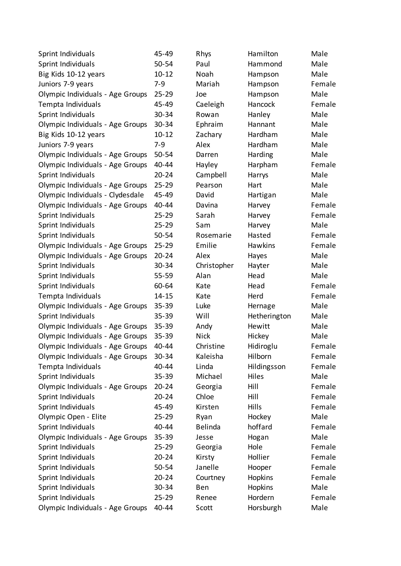| Sprint Individuals               | 45-49     | Rhys           | Hamilton     | Male   |
|----------------------------------|-----------|----------------|--------------|--------|
| Sprint Individuals               | 50-54     | Paul           | Hammond      | Male   |
| Big Kids 10-12 years             | $10 - 12$ | Noah           | Hampson      | Male   |
| Juniors 7-9 years                | $7 - 9$   | Mariah         | Hampson      | Female |
| Olympic Individuals - Age Groups | $25 - 29$ | Joe            | Hampson      | Male   |
| Tempta Individuals               | 45-49     | Caeleigh       | Hancock      | Female |
| Sprint Individuals               | 30-34     | Rowan          | Hanley       | Male   |
| Olympic Individuals - Age Groups | $30 - 34$ | Ephraim        | Hannant      | Male   |
| Big Kids 10-12 years             | $10 - 12$ | Zachary        | Hardham      | Male   |
| Juniors 7-9 years                | $7 - 9$   | Alex           | Hardham      | Male   |
| Olympic Individuals - Age Groups | 50-54     | Darren         | Harding      | Male   |
| Olympic Individuals - Age Groups | 40-44     | Hayley         | Harpham      | Female |
| Sprint Individuals               | $20 - 24$ | Campbell       | Harrys       | Male   |
| Olympic Individuals - Age Groups | $25 - 29$ | Pearson        | Hart         | Male   |
| Olympic Individuals - Clydesdale | 45-49     | David          | Hartigan     | Male   |
| Olympic Individuals - Age Groups | 40-44     | Davina         | Harvey       | Female |
| Sprint Individuals               | $25 - 29$ | Sarah          | Harvey       | Female |
| Sprint Individuals               | $25 - 29$ | Sam            | Harvey       | Male   |
| Sprint Individuals               | 50-54     | Rosemarie      | Hasted       | Female |
| Olympic Individuals - Age Groups | $25 - 29$ | Emilie         | Hawkins      | Female |
| Olympic Individuals - Age Groups | $20 - 24$ | Alex           | Hayes        | Male   |
| Sprint Individuals               | 30-34     | Christopher    | Hayter       | Male   |
| Sprint Individuals               | 55-59     | Alan           | Head         | Male   |
| Sprint Individuals               | 60-64     | Kate           | Head         | Female |
| Tempta Individuals               | $14 - 15$ | Kate           | Herd         | Female |
| Olympic Individuals - Age Groups | $35 - 39$ | Luke           | Hernage      | Male   |
| Sprint Individuals               | 35-39     | Will           | Hetherington | Male   |
| Olympic Individuals - Age Groups | $35 - 39$ | Andy           | Hewitt       | Male   |
| Olympic Individuals - Age Groups | $35 - 39$ | <b>Nick</b>    | Hickey       | Male   |
| Olympic Individuals - Age Groups | 40-44     | Christine      | Hidiroglu    | Female |
| Olympic Individuals - Age Groups | 30-34     | Kaleisha       | Hilborn      | Female |
| Tempta Individuals               | 40-44     | Linda          | Hildingsson  | Female |
| Sprint Individuals               | 35-39     | Michael        | Hiles        | Male   |
| Olympic Individuals - Age Groups | $20 - 24$ | Georgia        | Hill         | Female |
| Sprint Individuals               | $20 - 24$ | Chloe          | Hill         | Female |
| Sprint Individuals               | 45-49     | Kirsten        | <b>Hills</b> | Female |
| Olympic Open - Elite             | $25 - 29$ | Ryan           | Hockey       | Male   |
| Sprint Individuals               | 40-44     | <b>Belinda</b> | hoffard      | Female |
| Olympic Individuals - Age Groups | $35 - 39$ | Jesse          | Hogan        | Male   |
| Sprint Individuals               | $25 - 29$ | Georgia        | Hole         | Female |
| Sprint Individuals               | $20 - 24$ | Kirsty         | Hollier      | Female |
| Sprint Individuals               | 50-54     | Janelle        | Hooper       | Female |
| Sprint Individuals               | $20 - 24$ | Courtney       | Hopkins      | Female |
| Sprint Individuals               | 30-34     | Ben            | Hopkins      | Male   |
| Sprint Individuals               | $25 - 29$ | Renee          | Hordern      | Female |
| Olympic Individuals - Age Groups | 40-44     | Scott          | Horsburgh    | Male   |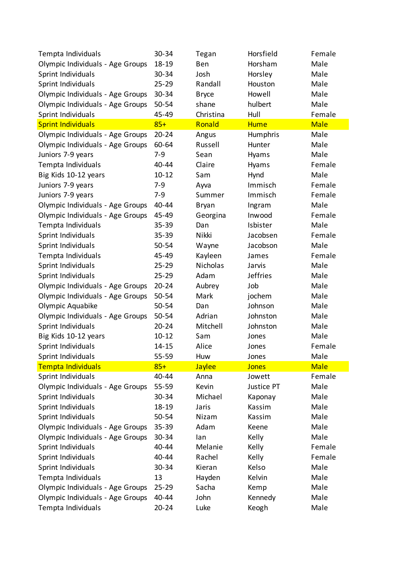| Tempta Individuals               | 30-34     | Tegan        | Horsfield       | Female      |
|----------------------------------|-----------|--------------|-----------------|-------------|
| Olympic Individuals - Age Groups | $18 - 19$ | Ben          | Horsham         | Male        |
| Sprint Individuals               | 30-34     | Josh         | Horsley         | Male        |
| Sprint Individuals               | $25 - 29$ | Randall      | Houston         | Male        |
| Olympic Individuals - Age Groups | 30-34     | <b>Bryce</b> | Howell          | Male        |
| Olympic Individuals - Age Groups | 50-54     | shane        | hulbert         | Male        |
| Sprint Individuals               | 45-49     | Christina    | Hull            | Female      |
| <b>Sprint Individuals</b>        | $85+$     | Ronald       | <b>Hume</b>     | <b>Male</b> |
| Olympic Individuals - Age Groups | $20 - 24$ | Angus        | Humphris        | Male        |
| Olympic Individuals - Age Groups | 60-64     | Russell      | Hunter          | Male        |
| Juniors 7-9 years                | $7 - 9$   | Sean         | Hyams           | Male        |
| Tempta Individuals               | 40-44     | Claire       | Hyams           | Female      |
| Big Kids 10-12 years             | $10 - 12$ | Sam          | Hynd            | Male        |
| Juniors 7-9 years                | $7-9$     | Ayva         | Immisch         | Female      |
| Juniors 7-9 years                | $7 - 9$   | Summer       | Immisch         | Female      |
| Olympic Individuals - Age Groups | 40-44     | <b>Bryan</b> | Ingram          | Male        |
| Olympic Individuals - Age Groups | 45-49     | Georgina     | Inwood          | Female      |
| Tempta Individuals               | $35 - 39$ | Dan          | Isbister        | Male        |
| Sprint Individuals               | $35 - 39$ | <b>Nikki</b> | Jacobsen        | Female      |
| Sprint Individuals               | 50-54     | Wayne        | Jacobson        | Male        |
| Tempta Individuals               | 45-49     | Kayleen      | James           | Female      |
| Sprint Individuals               | $25 - 29$ | Nicholas     | Jarvis          | Male        |
| Sprint Individuals               | $25 - 29$ | Adam         | <b>Jeffries</b> | Male        |
| Olympic Individuals - Age Groups | $20 - 24$ | Aubrey       | Job             | Male        |
| Olympic Individuals - Age Groups | 50-54     | Mark         | jochem          | Male        |
| Olympic Aquabike                 | 50-54     | Dan          | Johnson         | Male        |
| Olympic Individuals - Age Groups | 50-54     | Adrian       | Johnston        | Male        |
| Sprint Individuals               | $20 - 24$ | Mitchell     | Johnston        | Male        |
| Big Kids 10-12 years             | $10 - 12$ | Sam          | Jones           | Male        |
| Sprint Individuals               | $14 - 15$ | Alice        | Jones           | Female      |
| Sprint Individuals               | 55-59     | Huw          | Jones           | Male        |
| Tempta Individuals               | $85+$     | Jaylee       | <b>Jones</b>    | <b>Male</b> |
| Sprint Individuals               | 40-44     | Anna         | Jowett          | Female      |
| Olympic Individuals - Age Groups | 55-59     | Kevin        | Justice PT      | Male        |
| Sprint Individuals               | 30-34     | Michael      | Kaponay         | Male        |
| Sprint Individuals               | 18-19     | Jaris        | Kassim          | Male        |
| Sprint Individuals               | 50-54     | Nizam        | Kassim          | Male        |
| Olympic Individuals - Age Groups | $35 - 39$ | Adam         | Keene           | Male        |
| Olympic Individuals - Age Groups | 30-34     | lan          | Kelly           | Male        |
| Sprint Individuals               | 40-44     | Melanie      | Kelly           | Female      |
| Sprint Individuals               | 40-44     | Rachel       | Kelly           | Female      |
| Sprint Individuals               | 30-34     | Kieran       | Kelso           | Male        |
| Tempta Individuals               | 13        | Hayden       | Kelvin          | Male        |
| Olympic Individuals - Age Groups | $25 - 29$ | Sacha        | Kemp            | Male        |
| Olympic Individuals - Age Groups | 40-44     | John         | Kennedy         | Male        |
| Tempta Individuals               | $20 - 24$ | Luke         | Keogh           | Male        |
|                                  |           |              |                 |             |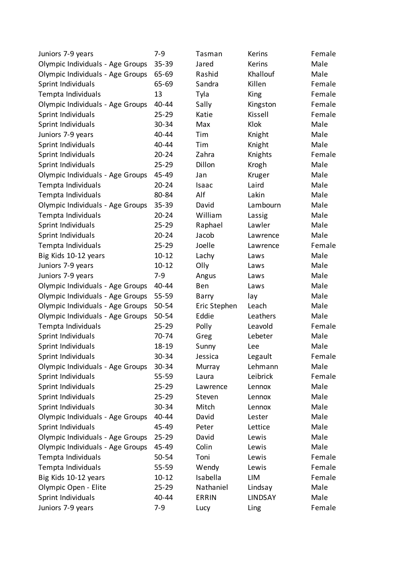| Juniors 7-9 years                | $7 - 9$   | Tasman       | Kerins         | Female |
|----------------------------------|-----------|--------------|----------------|--------|
| Olympic Individuals - Age Groups | 35-39     | Jared        | Kerins         | Male   |
| Olympic Individuals - Age Groups | 65-69     | Rashid       | Khallouf       | Male   |
| Sprint Individuals               | 65-69     | Sandra       | Killen         | Female |
| Tempta Individuals               | 13        | Tyla         | King           | Female |
| Olympic Individuals - Age Groups | 40-44     | Sally        | Kingston       | Female |
| Sprint Individuals               | $25 - 29$ | Katie        | Kissell        | Female |
| Sprint Individuals               | 30-34     | Max          | Klok           | Male   |
| Juniors 7-9 years                | 40-44     | Tim          | Knight         | Male   |
| Sprint Individuals               | 40-44     | Tim          | Knight         | Male   |
| Sprint Individuals               | $20 - 24$ | Zahra        | Knights        | Female |
| Sprint Individuals               | $25 - 29$ | Dillon       | Krogh          | Male   |
| Olympic Individuals - Age Groups | 45-49     | Jan          | Kruger         | Male   |
| Tempta Individuals               | $20 - 24$ | Isaac        | Laird          | Male   |
| Tempta Individuals               | 80-84     | Alf          | Lakin          | Male   |
| Olympic Individuals - Age Groups | 35-39     | David        | Lambourn       | Male   |
| Tempta Individuals               | $20 - 24$ | William      | Lassig         | Male   |
| Sprint Individuals               | $25 - 29$ | Raphael      | Lawler         | Male   |
| Sprint Individuals               | $20 - 24$ | Jacob        | Lawrence       | Male   |
| Tempta Individuals               | $25 - 29$ | Joelle       | Lawrence       | Female |
| Big Kids 10-12 years             | $10 - 12$ | Lachy        | Laws           | Male   |
| Juniors 7-9 years                | $10 - 12$ | Olly         | Laws           | Male   |
| Juniors 7-9 years                | $7 - 9$   | Angus        | Laws           | Male   |
| Olympic Individuals - Age Groups | 40-44     | Ben          | Laws           | Male   |
| Olympic Individuals - Age Groups | 55-59     | Barry        | lay            | Male   |
| Olympic Individuals - Age Groups | 50-54     | Eric Stephen | Leach          | Male   |
| Olympic Individuals - Age Groups | 50-54     | Eddie        | Leathers       | Male   |
| Tempta Individuals               | $25 - 29$ | Polly        | Leavold        | Female |
| Sprint Individuals               | 70-74     | Greg         | Lebeter        | Male   |
| Sprint Individuals               | 18-19     | Sunny        | Lee            | Male   |
| Sprint Individuals               | 30-34     | Jessica      | Legault        | Female |
| Olympic Individuals - Age Groups | 30-34     | Murray       | Lehmann        | Male   |
| Sprint Individuals               | 55-59     | Laura        | Leibrick       | Female |
| Sprint Individuals               | $25 - 29$ | Lawrence     | Lennox         | Male   |
| Sprint Individuals               | $25 - 29$ | Steven       | Lennox         | Male   |
| Sprint Individuals               | 30-34     | Mitch        | Lennox         | Male   |
| Olympic Individuals - Age Groups | 40-44     | David        | Lester         | Male   |
| Sprint Individuals               | 45-49     | Peter        | Lettice        | Male   |
| Olympic Individuals - Age Groups | $25 - 29$ | David        | Lewis          | Male   |
| Olympic Individuals - Age Groups | 45-49     | Colin        | Lewis          | Male   |
| Tempta Individuals               | 50-54     | Toni         | Lewis          | Female |
| Tempta Individuals               | $55 - 59$ | Wendy        | Lewis          | Female |
| Big Kids 10-12 years             | $10 - 12$ | Isabella     | LIM            | Female |
| Olympic Open - Elite             | $25 - 29$ | Nathaniel    | Lindsay        | Male   |
| Sprint Individuals               | 40-44     | <b>ERRIN</b> | <b>LINDSAY</b> | Male   |
| Juniors 7-9 years                | $7 - 9$   | Lucy         | Ling           | Female |
|                                  |           |              |                |        |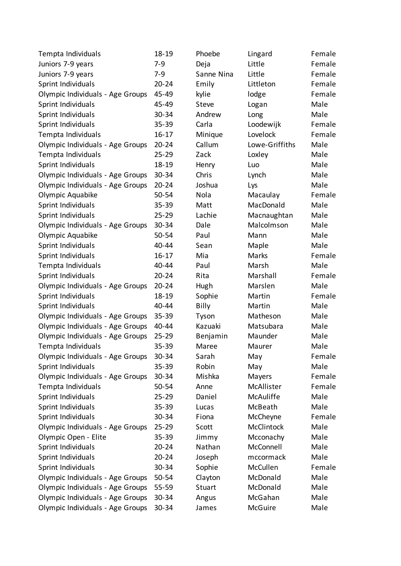| Tempta Individuals               | $18 - 19$ | Phoebe       | Lingard          | Female |
|----------------------------------|-----------|--------------|------------------|--------|
| Juniors 7-9 years                | $7 - 9$   | Deja         | Little           | Female |
| Juniors 7-9 years                | $7-9$     | Sanne Nina   | Little           | Female |
| Sprint Individuals               | $20 - 24$ | Emily        | Littleton        | Female |
| Olympic Individuals - Age Groups | 45-49     | kylie        | lodge            | Female |
| Sprint Individuals               | 45-49     | Steve        | Logan            | Male   |
| Sprint Individuals               | 30-34     | Andrew       | Long             | Male   |
| Sprint Individuals               | $35 - 39$ | Carla        | Loodewijk        | Female |
| Tempta Individuals               | $16 - 17$ | Minique      | Lovelock         | Female |
| Olympic Individuals - Age Groups | $20 - 24$ | Callum       | Lowe-Griffiths   | Male   |
| Tempta Individuals               | $25 - 29$ | Zack         | Loxley           | Male   |
| Sprint Individuals               | 18-19     | Henry        | Luo              | Male   |
| Olympic Individuals - Age Groups | 30-34     | Chris        | Lynch            | Male   |
| Olympic Individuals - Age Groups | $20 - 24$ | Joshua       | Lys              | Male   |
| Olympic Aquabike                 | 50-54     | Nola         | Macaulay         | Female |
| Sprint Individuals               | 35-39     | Matt         | MacDonald        | Male   |
| Sprint Individuals               | $25 - 29$ | Lachie       | Macnaughtan      | Male   |
| Olympic Individuals - Age Groups | 30-34     | Dale         | Malcolmson       | Male   |
| Olympic Aquabike                 | 50-54     | Paul         | Mann             | Male   |
| Sprint Individuals               | 40-44     | Sean         | Maple            | Male   |
| Sprint Individuals               | $16 - 17$ | Mia          | Marks            | Female |
| Tempta Individuals               | 40-44     | Paul         | Marsh            | Male   |
| Sprint Individuals               | $20 - 24$ | Rita         | Marshall         | Female |
| Olympic Individuals - Age Groups | $20 - 24$ | Hugh         | Marslen          | Male   |
| Sprint Individuals               | 18-19     | Sophie       | Martin           | Female |
| Sprint Individuals               | 40-44     | <b>Billy</b> | Martin           | Male   |
| Olympic Individuals - Age Groups | 35-39     | Tyson        | Matheson         | Male   |
| Olympic Individuals - Age Groups | 40-44     | Kazuaki      | Matsubara        | Male   |
| Olympic Individuals - Age Groups | $25 - 29$ | Benjamin     | Maunder          | Male   |
| Tempta Individuals               | 35-39     | Maree        | Maurer           | Male   |
| Olympic Individuals - Age Groups | 30-34     | Sarah        | May              | Female |
| Sprint Individuals               | 35-39     | Robin        | May              | Male   |
| Olympic Individuals - Age Groups | 30-34     | Mishka       | Mayers           | Female |
| Tempta Individuals               | 50-54     | Anne         | McAllister       | Female |
| Sprint Individuals               | $25 - 29$ | Daniel       | <b>McAuliffe</b> | Male   |
| Sprint Individuals               | 35-39     | Lucas        | McBeath          | Male   |
| Sprint Individuals               | 30-34     | Fiona        | McCheyne         | Female |
| Olympic Individuals - Age Groups | $25 - 29$ | Scott        | McClintock       | Male   |
| Olympic Open - Elite             | 35-39     | Jimmy        | Mcconachy        | Male   |
| Sprint Individuals               | $20 - 24$ | Nathan       | McConnell        | Male   |
| Sprint Individuals               | $20 - 24$ | Joseph       | mccormack        | Male   |
| Sprint Individuals               | 30-34     | Sophie       | McCullen         | Female |
| Olympic Individuals - Age Groups | 50-54     | Clayton      | McDonald         | Male   |
| Olympic Individuals - Age Groups | 55-59     | Stuart       | McDonald         | Male   |
| Olympic Individuals - Age Groups | 30-34     | Angus        | McGahan          | Male   |
| Olympic Individuals - Age Groups | 30-34     | James        | McGuire          | Male   |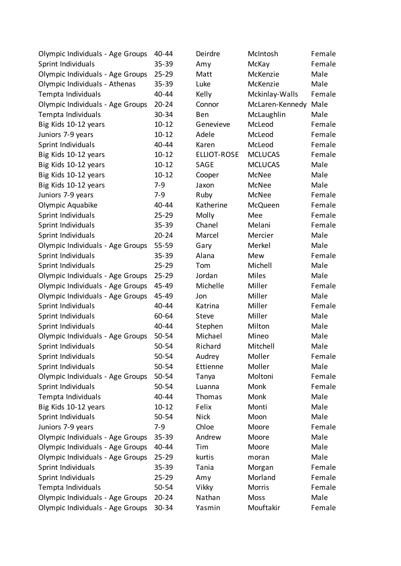| Olympic Individuals - Age Groups | 40-44     | Deirdre            | McIntosh        | Female |
|----------------------------------|-----------|--------------------|-----------------|--------|
| Sprint Individuals               | $35 - 39$ | Amy                | McKay           | Female |
| Olympic Individuals - Age Groups | $25 - 29$ | Matt               | McKenzie        | Male   |
| Olympic Individuals - Athenas    | $35 - 39$ | Luke               | McKenzie        | Male   |
| Tempta Individuals               | 40-44     | Kelly              | Mckinlay-Walls  | Female |
| Olympic Individuals - Age Groups | $20 - 24$ | Connor             | McLaren-Kennedy | Male   |
| Tempta Individuals               | 30-34     | Ben                | McLaughlin      | Male   |
| Big Kids 10-12 years             | $10 - 12$ | Genevieve          | McLeod          | Female |
| Juniors 7-9 years                | $10 - 12$ | Adele              | McLeod          | Female |
| Sprint Individuals               | 40-44     | Karen              | McLeod          | Female |
| Big Kids 10-12 years             | $10 - 12$ | <b>ELLIOT-ROSE</b> | <b>MCLUCAS</b>  | Female |
| Big Kids 10-12 years             | $10 - 12$ | SAGE               | <b>MCLUCAS</b>  | Male   |
| Big Kids 10-12 years             | $10 - 12$ | Cooper             | McNee           | Male   |
| Big Kids 10-12 years             | $7 - 9$   | Jaxon              | McNee           | Male   |
| Juniors 7-9 years                | $7-9$     | Ruby               | McNee           | Female |
| Olympic Aquabike                 | 40-44     | Katherine          | McQueen         | Female |
| Sprint Individuals               | $25 - 29$ | Molly              | Mee             | Female |
| Sprint Individuals               | $35 - 39$ | Chanel             | Melani          | Female |
| Sprint Individuals               | $20 - 24$ | Marcel             | Mercier         | Male   |
| Olympic Individuals - Age Groups | 55-59     | Gary               | Merkel          | Male   |
| Sprint Individuals               | $35 - 39$ | Alana              | Mew             | Female |
| Sprint Individuals               | $25 - 29$ | Tom                | Michell         | Male   |
| Olympic Individuals - Age Groups | $25 - 29$ | Jordan             | <b>Miles</b>    | Male   |
| Olympic Individuals - Age Groups | 45-49     | Michelle           | Miller          | Female |
| Olympic Individuals - Age Groups | 45-49     | Jon                | Miller          | Male   |
| Sprint Individuals               | 40-44     | Katrina            | Miller          | Female |
| Sprint Individuals               | 60-64     | Steve              | Miller          | Male   |
| Sprint Individuals               | 40-44     | Stephen            | Milton          | Male   |
| Olympic Individuals - Age Groups | 50-54     | Michael            | Mineo           | Male   |
| Sprint Individuals               | 50-54     | Richard            | Mitchell        | Male   |
| Sprint Individuals               | 50-54     | Audrey             | Moller          | Female |
| Sprint Individuals               | 50-54     | Ettienne           | Moller          | Male   |
| Olympic Individuals - Age Groups | 50-54     | Tanya              | Moltoni         | Female |
| Sprint Individuals               | 50-54     | Luanna             | Monk            | Female |
| Tempta Individuals               | 40-44     | Thomas             | Monk            | Male   |
| Big Kids 10-12 years             | $10 - 12$ | Felix              | Monti           | Male   |
| Sprint Individuals               | 50-54     | <b>Nick</b>        | Moon            | Male   |
| Juniors 7-9 years                | $7-9$     | Chloe              | Moore           | Female |
| Olympic Individuals - Age Groups | $35 - 39$ | Andrew             | Moore           | Male   |
| Olympic Individuals - Age Groups | 40-44     | Tim                | Moore           | Male   |
| Olympic Individuals - Age Groups | $25 - 29$ | kurtis             | moran           | Male   |
| Sprint Individuals               | $35 - 39$ | Tania              | Morgan          | Female |
| Sprint Individuals               | $25 - 29$ | Amy                | Morland         | Female |
| Tempta Individuals               | 50-54     | Vikky              | Morris          | Female |
| Olympic Individuals - Age Groups | $20 - 24$ | Nathan             | Moss            | Male   |
| Olympic Individuals - Age Groups | 30-34     | Yasmin             | Mouftakir       | Female |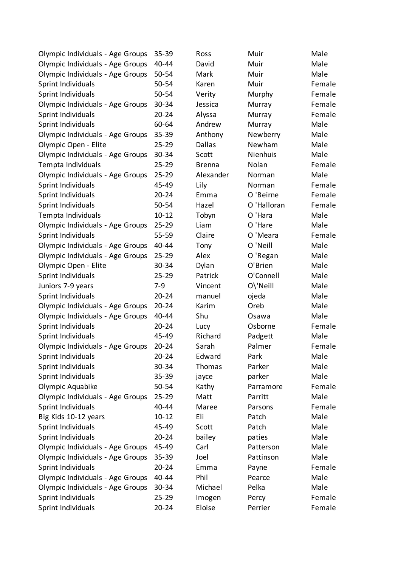| Olympic Individuals - Age Groups | 35-39     | Ross          | Muir        | Male   |
|----------------------------------|-----------|---------------|-------------|--------|
| Olympic Individuals - Age Groups | 40-44     | David         | Muir        | Male   |
| Olympic Individuals - Age Groups | 50-54     | Mark          | Muir        | Male   |
| Sprint Individuals               | 50-54     | Karen         | Muir        | Female |
| Sprint Individuals               | 50-54     | Verity        | Murphy      | Female |
| Olympic Individuals - Age Groups | $30 - 34$ | Jessica       | Murray      | Female |
| Sprint Individuals               | $20 - 24$ | Alyssa        | Murray      | Female |
| Sprint Individuals               | 60-64     | Andrew        | Murray      | Male   |
| Olympic Individuals - Age Groups | $35 - 39$ | Anthony       | Newberry    | Male   |
| Olympic Open - Elite             | $25 - 29$ | Dallas        | Newham      | Male   |
| Olympic Individuals - Age Groups | 30-34     | Scott         | Nienhuis    | Male   |
| Tempta Individuals               | $25 - 29$ | <b>Brenna</b> | Nolan       | Female |
| Olympic Individuals - Age Groups | $25 - 29$ | Alexander     | Norman      | Male   |
| Sprint Individuals               | 45-49     | Lily          | Norman      | Female |
| Sprint Individuals               | $20 - 24$ | Emma          | O 'Beirne   | Female |
| Sprint Individuals               | 50-54     | Hazel         | O 'Halloran | Female |
| Tempta Individuals               | $10 - 12$ | Tobyn         | O 'Hara     | Male   |
| Olympic Individuals - Age Groups | $25 - 29$ | Liam          | O 'Hare     | Male   |
| Sprint Individuals               | 55-59     | Claire        | O 'Meara    | Female |
| Olympic Individuals - Age Groups | 40-44     | Tony          | O 'Neill    | Male   |
| Olympic Individuals - Age Groups | $25 - 29$ | Alex          | O 'Regan    | Male   |
| Olympic Open - Elite             | 30-34     | Dylan         | O'Brien     | Male   |
| Sprint Individuals               | $25 - 29$ | Patrick       | O'Connell   | Male   |
| Juniors 7-9 years                | $7-9$     | Vincent       | O\'Neill    | Male   |
| Sprint Individuals               | $20 - 24$ | manuel        | ojeda       | Male   |
| Olympic Individuals - Age Groups | $20 - 24$ | Karim         | Oreb        | Male   |
| Olympic Individuals - Age Groups | 40-44     | Shu           | Osawa       | Male   |
| Sprint Individuals               | $20 - 24$ | Lucy          | Osborne     | Female |
| Sprint Individuals               | 45-49     | Richard       | Padgett     | Male   |
| Olympic Individuals - Age Groups | $20 - 24$ | Sarah         | Palmer      | Female |
| Sprint Individuals               | $20 - 24$ | Edward        | Park        | Male   |
| Sprint Individuals               | 30-34     | Thomas        | Parker      | Male   |
| Sprint Individuals               | 35-39     | jayce         | parker      | Male   |
| Olympic Aquabike                 | 50-54     | Kathy         | Parramore   | Female |
| Olympic Individuals - Age Groups | $25 - 29$ | Matt          | Parritt     | Male   |
| Sprint Individuals               | 40-44     | Maree         | Parsons     | Female |
| Big Kids 10-12 years             | $10 - 12$ | Eli           | Patch       | Male   |
| Sprint Individuals               | 45-49     | Scott         | Patch       | Male   |
| Sprint Individuals               | $20 - 24$ | bailey        | paties      | Male   |
| Olympic Individuals - Age Groups | 45-49     | Carl          | Patterson   | Male   |
| Olympic Individuals - Age Groups | $35 - 39$ | Joel          | Pattinson   | Male   |
| Sprint Individuals               | $20 - 24$ | Emma          | Payne       | Female |
| Olympic Individuals - Age Groups | 40-44     | Phil          | Pearce      | Male   |
| Olympic Individuals - Age Groups | $30 - 34$ | Michael       | Pelka       | Male   |
| Sprint Individuals               | $25 - 29$ | Imogen        | Percy       | Female |
| Sprint Individuals               | $20 - 24$ | Eloise        | Perrier     | Female |
|                                  |           |               |             |        |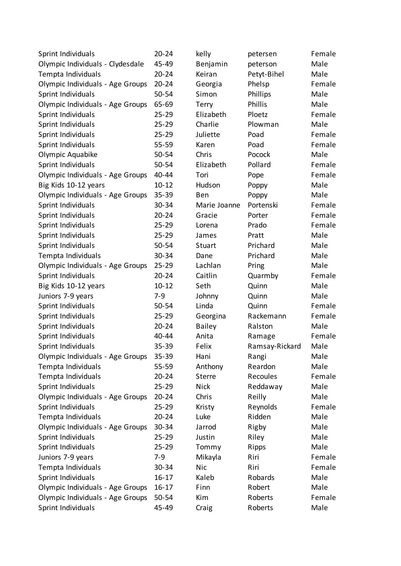| Sprint Individuals               | $20 - 24$ | kelly         | petersen       | Female |
|----------------------------------|-----------|---------------|----------------|--------|
| Olympic Individuals - Clydesdale | 45-49     | Benjamin      | peterson       | Male   |
| Tempta Individuals               | $20 - 24$ | Keiran        | Petyt-Bihel    | Male   |
| Olympic Individuals - Age Groups | $20 - 24$ | Georgia       | Phelsp         | Female |
| Sprint Individuals               | $50 - 54$ | Simon         | Phillips       | Male   |
| Olympic Individuals - Age Groups | 65-69     | Terry         | <b>Phillis</b> | Male   |
| Sprint Individuals               | $25 - 29$ | Elizabeth     | Ploetz         | Female |
| Sprint Individuals               | $25 - 29$ | Charlie       | Plowman        | Male   |
| Sprint Individuals               | $25 - 29$ | Juliette      | Poad           | Female |
| Sprint Individuals               | 55-59     | Karen         | Poad           | Female |
| Olympic Aquabike                 | 50-54     | Chris         | Pocock         | Male   |
| Sprint Individuals               | 50-54     | Elizabeth     | Pollard        | Female |
| Olympic Individuals - Age Groups | 40-44     | Tori          | Pope           | Female |
| Big Kids 10-12 years             | $10 - 12$ | Hudson        | Poppy          | Male   |
| Olympic Individuals - Age Groups | $35 - 39$ | Ben           | Poppy          | Male   |
| Sprint Individuals               | 30-34     | Marie Joanne  | Portenski      | Female |
| Sprint Individuals               | $20 - 24$ | Gracie        | Porter         | Female |
| Sprint Individuals               | $25 - 29$ | Lorena        | Prado          | Female |
| Sprint Individuals               | 25-29     | James         | Pratt          | Male   |
| Sprint Individuals               | 50-54     | Stuart        | Prichard       | Male   |
| Tempta Individuals               | 30-34     | Dane          | Prichard       | Male   |
| Olympic Individuals - Age Groups | $25 - 29$ | Lachlan       | Pring          | Male   |
| Sprint Individuals               | $20 - 24$ | Caitlin       | Quarmby        | Female |
| Big Kids 10-12 years             | $10 - 12$ | Seth          | Quinn          | Male   |
| Juniors 7-9 years                | $7-9$     | Johnny        | Quinn          | Male   |
| Sprint Individuals               | $50 - 54$ | Linda         | Quinn          | Female |
| Sprint Individuals               | $25 - 29$ | Georgina      | Rackemann      | Female |
| Sprint Individuals               | $20 - 24$ | <b>Bailey</b> | Ralston        | Male   |
| Sprint Individuals               | 40-44     | Anita         | Ramage         | Female |
| Sprint Individuals               | 35-39     | Felix         | Ramsay-Rickard | Male   |
| Olympic Individuals - Age Groups | 35-39     | Hani          | Rangi          | Male   |
| Tempta Individuals               | 55-59     | Anthony       | Reardon        | Male   |
| Tempta Individuals               | $20 - 24$ | <b>Sterre</b> | Recoules       | Female |
| Sprint Individuals               | $25 - 29$ | <b>Nick</b>   | Reddaway       | Male   |
| Olympic Individuals - Age Groups | $20 - 24$ | Chris         | Reilly         | Male   |
| Sprint Individuals               | $25 - 29$ | Kristy        | Reynolds       | Female |
| Tempta Individuals               | $20 - 24$ | Luke          | Ridden         | Male   |
| Olympic Individuals - Age Groups | 30-34     | Jarrod        | Rigby          | Male   |
| Sprint Individuals               | $25 - 29$ | Justin        | Riley          | Male   |
| Sprint Individuals               | $25 - 29$ | Tommy         | Ripps          | Male   |
| Juniors 7-9 years                | $7-9$     | Mikayla       | Riri           | Female |
| Tempta Individuals               | 30-34     | <b>Nic</b>    | Riri           | Female |
| Sprint Individuals               | $16 - 17$ | Kaleb         | Robards        | Male   |
| Olympic Individuals - Age Groups | $16 - 17$ | Finn          | Robert         | Male   |
| Olympic Individuals - Age Groups | 50-54     | Kim           | Roberts        | Female |
| Sprint Individuals               | 45-49     | Craig         | Roberts        | Male   |
|                                  |           |               |                |        |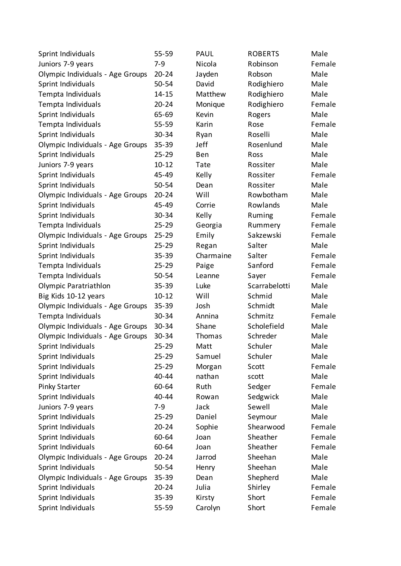| Sprint Individuals               | 55-59     | PAUL      | <b>ROBERTS</b> | Male   |
|----------------------------------|-----------|-----------|----------------|--------|
| Juniors 7-9 years                | $7 - 9$   | Nicola    | Robinson       | Female |
| Olympic Individuals - Age Groups | $20 - 24$ | Jayden    | Robson         | Male   |
| Sprint Individuals               | 50-54     | David     | Rodighiero     | Male   |
| Tempta Individuals               | $14 - 15$ | Matthew   | Rodighiero     | Male   |
| Tempta Individuals               | $20 - 24$ | Monique   | Rodighiero     | Female |
| Sprint Individuals               | 65-69     | Kevin     | Rogers         | Male   |
| Tempta Individuals               | 55-59     | Karin     | Rose           | Female |
| Sprint Individuals               | 30-34     | Ryan      | Roselli        | Male   |
| Olympic Individuals - Age Groups | $35 - 39$ | Jeff      | Rosenlund      | Male   |
| Sprint Individuals               | $25 - 29$ | Ben       | Ross           | Male   |
| Juniors 7-9 years                | $10 - 12$ | Tate      | Rossiter       | Male   |
| Sprint Individuals               | 45-49     | Kelly     | Rossiter       | Female |
| Sprint Individuals               | 50-54     | Dean      | Rossiter       | Male   |
| Olympic Individuals - Age Groups | $20 - 24$ | Will      | Rowbotham      | Male   |
| Sprint Individuals               | 45-49     | Corrie    | Rowlands       | Male   |
| Sprint Individuals               | 30-34     | Kelly     | Ruming         | Female |
| Tempta Individuals               | $25 - 29$ | Georgia   | Rummery        | Female |
| Olympic Individuals - Age Groups | $25 - 29$ | Emily     | Sakzewski      | Female |
| Sprint Individuals               | $25 - 29$ | Regan     | Salter         | Male   |
| Sprint Individuals               | $35 - 39$ | Charmaine | Salter         | Female |
| Tempta Individuals               | $25 - 29$ | Paige     | Sanford        | Female |
| Tempta Individuals               | 50-54     | Leanne    | Sayer          | Female |
| Olympic Paratriathlon            | $35 - 39$ | Luke      | Scarrabelotti  | Male   |
| Big Kids 10-12 years             | $10 - 12$ | Will      | Schmid         | Male   |
| Olympic Individuals - Age Groups | $35 - 39$ | Josh      | Schmidt        | Male   |
| Tempta Individuals               | 30-34     | Annina    | Schmitz        | Female |
| Olympic Individuals - Age Groups | 30-34     | Shane     | Scholefield    | Male   |
| Olympic Individuals - Age Groups | 30-34     | Thomas    | Schreder       | Male   |
| Sprint Individuals               | $25 - 29$ | Matt      | Schuler        | Male   |
| Sprint Individuals               | $25 - 29$ | Samuel    | Schuler        | Male   |
| Sprint Individuals               | $25 - 29$ | Morgan    | Scott          | Female |
| Sprint Individuals               | 40-44     | nathan    | scott          | Male   |
| <b>Pinky Starter</b>             | 60-64     | Ruth      | Sedger         | Female |
| Sprint Individuals               | 40-44     | Rowan     | Sedgwick       | Male   |
| Juniors 7-9 years                | $7-9$     | Jack      | Sewell         | Male   |
| Sprint Individuals               | $25 - 29$ | Daniel    | Seymour        | Male   |
| Sprint Individuals               | $20 - 24$ | Sophie    | Shearwood      | Female |
| Sprint Individuals               | 60-64     | Joan      | Sheather       | Female |
| Sprint Individuals               | 60-64     | Joan      | Sheather       | Female |
| Olympic Individuals - Age Groups | $20 - 24$ | Jarrod    | Sheehan        | Male   |
| Sprint Individuals               | 50-54     | Henry     | Sheehan        | Male   |
| Olympic Individuals - Age Groups | $35 - 39$ | Dean      | Shepherd       | Male   |
| Sprint Individuals               | $20 - 24$ | Julia     | Shirley        | Female |
| Sprint Individuals               | 35-39     | Kirsty    | Short          | Female |
| Sprint Individuals               | 55-59     | Carolyn   | Short          | Female |
|                                  |           |           |                |        |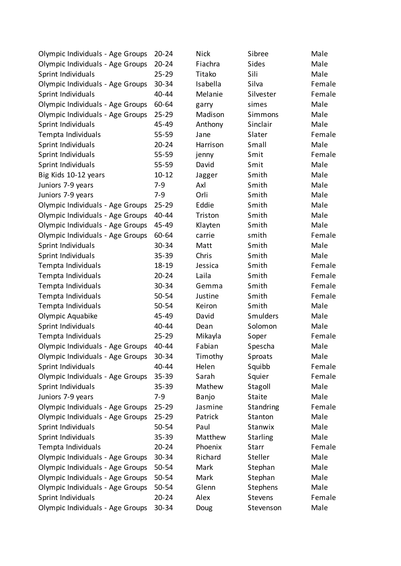| Olympic Individuals - Age Groups | $20 - 24$ | <b>Nick</b> | Sibree          | Male   |
|----------------------------------|-----------|-------------|-----------------|--------|
| Olympic Individuals - Age Groups | $20 - 24$ | Fiachra     | <b>Sides</b>    | Male   |
| Sprint Individuals               | $25 - 29$ | Titako      | Sili            | Male   |
| Olympic Individuals - Age Groups | 30-34     | Isabella    | Silva           | Female |
| Sprint Individuals               | 40-44     | Melanie     | Silvester       | Female |
| Olympic Individuals - Age Groups | 60-64     | garry       | simes           | Male   |
| Olympic Individuals - Age Groups | $25 - 29$ | Madison     | Simmons         | Male   |
| Sprint Individuals               | 45-49     | Anthony     | Sinclair        | Male   |
| Tempta Individuals               | 55-59     | Jane        | Slater          | Female |
| Sprint Individuals               | $20 - 24$ | Harrison    | Small           | Male   |
| Sprint Individuals               | 55-59     | jenny       | Smit            | Female |
| Sprint Individuals               | $55 - 59$ | David       | Smit            | Male   |
| Big Kids 10-12 years             | $10 - 12$ | Jagger      | Smith           | Male   |
| Juniors 7-9 years                | $7 - 9$   | Axl         | Smith           | Male   |
| Juniors 7-9 years                | $7-9$     | Orli        | Smith           | Male   |
| Olympic Individuals - Age Groups | $25 - 29$ | Eddie       | Smith           | Male   |
| Olympic Individuals - Age Groups | 40-44     | Triston     | Smith           | Male   |
| Olympic Individuals - Age Groups | 45-49     | Klayten     | Smith           | Male   |
| Olympic Individuals - Age Groups | 60-64     | carrie      | smith           | Female |
| Sprint Individuals               | 30-34     | Matt        | Smith           | Male   |
| Sprint Individuals               | 35-39     | Chris       | Smith           | Male   |
| Tempta Individuals               | 18-19     | Jessica     | Smith           | Female |
| Tempta Individuals               | $20 - 24$ | Laila       | Smith           | Female |
| Tempta Individuals               | 30-34     | Gemma       | Smith           | Female |
| Tempta Individuals               | 50-54     | Justine     | Smith           | Female |
| Tempta Individuals               | 50-54     | Keiron      | Smith           | Male   |
| Olympic Aquabike                 | 45-49     | David       | Smulders        | Male   |
| Sprint Individuals               | 40-44     | Dean        | Solomon         | Male   |
| Tempta Individuals               | $25 - 29$ | Mikayla     | Soper           | Female |
| Olympic Individuals - Age Groups | 40-44     | Fabian      | Spescha         | Male   |
| Olympic Individuals - Age Groups | 30-34     | Timothy     | Sproats         | Male   |
| Sprint Individuals               | 40-44     | Helen       | Squibb          | Female |
| Olympic Individuals - Age Groups | $35 - 39$ | Sarah       | Squier          | Female |
| Sprint Individuals               | 35-39     | Mathew      | Stagoll         | Male   |
| Juniors 7-9 years                | $7-9$     | Banjo       | <b>Staite</b>   | Male   |
| Olympic Individuals - Age Groups | $25 - 29$ | Jasmine     | Standring       | Female |
| Olympic Individuals - Age Groups | $25 - 29$ | Patrick     | Stanton         | Male   |
| Sprint Individuals               | 50-54     | Paul        | Stanwix         | Male   |
| Sprint Individuals               | 35-39     | Matthew     | <b>Starling</b> | Male   |
| Tempta Individuals               | $20 - 24$ | Phoenix     | <b>Starr</b>    | Female |
| Olympic Individuals - Age Groups | 30-34     | Richard     | Steller         | Male   |
| Olympic Individuals - Age Groups | 50-54     | Mark        | Stephan         | Male   |
| Olympic Individuals - Age Groups | 50-54     | Mark        | Stephan         | Male   |
|                                  |           | Glenn       |                 |        |
| Olympic Individuals - Age Groups | 50-54     |             | Stephens        | Male   |
| Sprint Individuals               | $20 - 24$ | Alex        | Stevens         | Female |
| Olympic Individuals - Age Groups | 30-34     | Doug        | Stevenson       | Male   |

| k     | Sibree          | M   |
|-------|-----------------|-----|
| chra  | Sides           | M   |
| ıko   | Sili            | M   |
| bella | Silva           | Fe  |
| lanie | Silvester       | Fe  |
| ry    | simes           | M   |
| dison | Simmons         | M   |
| hony  | Sinclair        | M   |
| e     | Slater          | Fe  |
| rison | Small           | M   |
| ٦y    | Smit            | Fe  |
| id    | Smit            | M   |
| ger   | Smith           | M   |
|       | Smith           | M   |
|       | Smith           | M   |
| lie   | Smith           | M   |
| ton   | Smith           | M   |
| yten  | Smith           | M   |
| rie   | smith           | Fe  |
| tt    | Smith           | M   |
| is    | Smith           | M   |
| sica  | Smith           | Fe  |
| а     | Smith           | Fe  |
| nma   | Smith           | Fe  |
| tine  | Smith           | Fe  |
| ron   | Smith           | M   |
| id    | <b>Smulders</b> | M   |
| ın    | Solomon         | M   |
| ayla  | Soper           | Fe  |
| ian   | Spescha         | M   |
| ıothy | Sproats         | M   |
| en    | Squibb          | Fe  |
| ah    | Squier          | Fe  |
| thew  | Stagoll         | M   |
| ıjο   | <b>Staite</b>   | M   |
| mine  | Standring       | Fe  |
| rick  | Stanton         | M   |
| ıl    | Stanwix         | M   |
| tthew | <b>Starling</b> | M   |
| enix  | Starr           | Fe  |
| hard  | Steller         | M   |
| rk    | Stephan         | M   |
| rk    | Stephan         | M   |
| nn    | Stephens        | M   |
| X     | <b>Stevens</b>  | Fe  |
| ıσ    | Stevenson       | N۸: |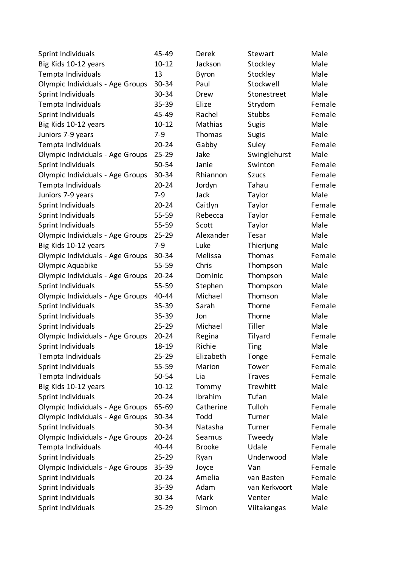| Sprint Individuals               | 45-49     | Derek           | Stewart       | Male   |
|----------------------------------|-----------|-----------------|---------------|--------|
| Big Kids 10-12 years             | $10 - 12$ | Jackson         | Stockley      | Male   |
| Tempta Individuals               | 13        | <b>Byron</b>    | Stockley      | Male   |
| Olympic Individuals - Age Groups | 30-34     | Paul            | Stockwell     | Male   |
| Sprint Individuals               | 30-34     | Drew            | Stonestreet   | Male   |
| Tempta Individuals               | $35 - 39$ | Elize           | Strydom       | Female |
| Sprint Individuals               | 45-49     | Rachel          | <b>Stubbs</b> | Female |
| Big Kids 10-12 years             | $10 - 12$ | Mathias         | <b>Sugis</b>  | Male   |
| Juniors 7-9 years                | $7 - 9$   | Thomas          | <b>Sugis</b>  | Male   |
| Tempta Individuals               | $20 - 24$ | Gabby           | Suley         | Female |
| Olympic Individuals - Age Groups | $25 - 29$ | Jake            | Swinglehurst  | Male   |
| Sprint Individuals               | 50-54     | Janie           | Swinton       | Female |
| Olympic Individuals - Age Groups | 30-34     | Rhiannon        | <b>Szucs</b>  | Female |
| Tempta Individuals               | $20 - 24$ | Jordyn          | Tahau         | Female |
| Juniors 7-9 years                | $7 - 9$   | Jack            | Taylor        | Male   |
| Sprint Individuals               | $20 - 24$ | Caitlyn         | Taylor        | Female |
| Sprint Individuals               | $55 - 59$ | Rebecca         | Taylor        | Female |
| Sprint Individuals               | $55 - 59$ | Scott           | Taylor        | Male   |
| Olympic Individuals - Age Groups | $25 - 29$ | Alexander       | Tesar         | Male   |
| Big Kids 10-12 years             | $7 - 9$   | Luke            | Thierjung     | Male   |
| Olympic Individuals - Age Groups | 30-34     | Melissa         | Thomas        | Female |
| Olympic Aquabike                 | 55-59     | Chris           | Thompson      | Male   |
| Olympic Individuals - Age Groups | $20 - 24$ | Dominic         | Thompson      | Male   |
| Sprint Individuals               | $55 - 59$ | Stephen         | Thompson      | Male   |
| Olympic Individuals - Age Groups | 40-44     | Michael         | Thomson       | Male   |
| Sprint Individuals               | $35 - 39$ | Sarah           | Thorne        | Female |
| Sprint Individuals               | 35-39     | Jon             | Thorne        | Male   |
| Sprint Individuals               | $25 - 29$ | Michael         | Tiller        | Male   |
| Olympic Individuals - Age Groups | $20 - 24$ | Regina          | Tilyard       | Female |
| Sprint Individuals               | 18-19     | Richie          | Ting          | Male   |
| Tempta Individuals               | $25 - 29$ | Elizabeth       | Tonge         | Female |
| Sprint Individuals               | 55-59     | Marion          | Tower         | Female |
| Tempta Individuals               | 50-54     | Lia             | <b>Traves</b> | Female |
| Big Kids 10-12 years             | $10 - 12$ | Tommy           | Trewhitt      | Male   |
| Sprint Individuals               | $20 - 24$ | Ibrahim         | Tufan         | Male   |
| Olympic Individuals - Age Groups | 65-69     | Catherine       | Tulloh        | Female |
| Olympic Individuals - Age Groups | 30-34     | Todd            | Turner        | Male   |
| Sprint Individuals               | 30-34     | Natasha         | Turner        | Female |
| Olympic Individuals - Age Groups | $20 - 24$ | Seamus          | Tweedy        | Male   |
| Tempta Individuals               | 40-44     | <b>Brooke</b>   | Udale         | Female |
| Sprint Individuals               | $25 - 29$ | Ryan            | Underwood     | Male   |
| Olympic Individuals - Age Groups | $35 - 39$ |                 | Van           | Female |
| Sprint Individuals               | $20 - 24$ | Joyce<br>Amelia | van Basten    | Female |
| Sprint Individuals               | $35 - 39$ | Adam            | van Kerkvoort | Male   |
|                                  |           |                 |               |        |
| Sprint Individuals               | 30-34     | Mark            | Venter        | Male   |
| Sprint Individuals               | $25 - 29$ | Simon           | Viitakangas   | Male   |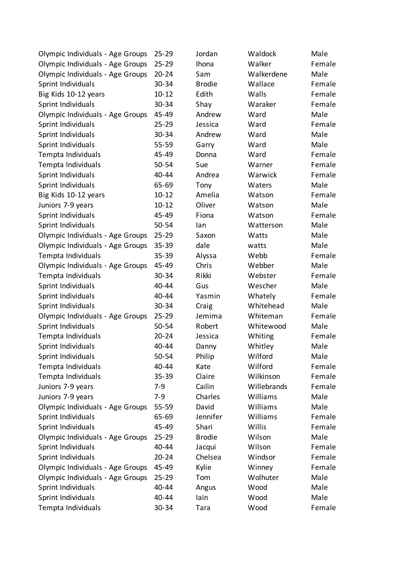| Olympic Individuals - Age Groups | $25 - 29$ | Jordan        | Waldock     | Male   |
|----------------------------------|-----------|---------------|-------------|--------|
| Olympic Individuals - Age Groups | $25 - 29$ | Ihona         | Walker      | Female |
| Olympic Individuals - Age Groups | $20 - 24$ | Sam           | Walkerdene  | Male   |
| Sprint Individuals               | 30-34     | <b>Brodie</b> | Wallace     | Female |
| Big Kids 10-12 years             | $10 - 12$ | Edith         | Walls       | Female |
| Sprint Individuals               | 30-34     | Shay          | Waraker     | Female |
| Olympic Individuals - Age Groups | 45-49     | Andrew        | Ward        | Male   |
| Sprint Individuals               | $25 - 29$ | Jessica       | Ward        | Female |
| Sprint Individuals               | 30-34     | Andrew        | Ward        | Male   |
| Sprint Individuals               | 55-59     | Garry         | Ward        | Male   |
| Tempta Individuals               | 45-49     | Donna         | Ward        | Female |
| Tempta Individuals               | 50-54     | Sue           | Warner      | Female |
| Sprint Individuals               | 40-44     | Andrea        | Warwick     | Female |
| Sprint Individuals               | 65-69     | Tony          | Waters      | Male   |
| Big Kids 10-12 years             | $10 - 12$ | Amelia        | Watson      | Female |
| Juniors 7-9 years                | $10 - 12$ | Oliver        | Watson      | Male   |
| Sprint Individuals               | 45-49     | Fiona         | Watson      | Female |
| Sprint Individuals               | 50-54     | lan           | Watterson   | Male   |
| Olympic Individuals - Age Groups | $25 - 29$ | Saxon         | Watts       | Male   |
| Olympic Individuals - Age Groups | 35-39     | dale          | watts       | Male   |
| Tempta Individuals               | 35-39     | Alyssa        | Webb        | Female |
| Olympic Individuals - Age Groups | 45-49     | Chris         | Webber      | Male   |
| Tempta Individuals               | 30-34     | Rikki         | Webster     | Female |
| Sprint Individuals               | 40-44     | Gus           | Wescher     | Male   |
| Sprint Individuals               | 40-44     | Yasmin        | Whately     | Female |
| Sprint Individuals               | 30-34     | Craig         | Whitehead   | Male   |
| Olympic Individuals - Age Groups | $25 - 29$ | Jemima        | Whiteman    | Female |
| Sprint Individuals               | $50 - 54$ | Robert        | Whitewood   | Male   |
| Tempta Individuals               | $20 - 24$ | Jessica       | Whiting     | Female |
| Sprint Individuals               | 40-44     | Danny         | Whitley     | Male   |
| Sprint Individuals               | 50-54     | Philip        | Wilford     | Male   |
| Tempta Individuals               | 40-44     | Kate          | Wilford     | Female |
| Tempta Individuals               | 35-39     | Claire        | Wilkinson   | Female |
| Juniors 7-9 years                | $7-9$     | Cailin        | Willebrands | Female |
| Juniors 7-9 years                | $7-9$     | Charles       | Williams    | Male   |
| Olympic Individuals - Age Groups | 55-59     | David         | Williams    | Male   |
| Sprint Individuals               | 65-69     | Jennifer      | Williams    | Female |
| Sprint Individuals               | 45-49     | Shari         | Willis      | Female |
| Olympic Individuals - Age Groups | $25 - 29$ | <b>Brodie</b> | Wilson      | Male   |
| Sprint Individuals               | 40-44     | Jacqui        | Wilson      | Female |
| Sprint Individuals               | $20 - 24$ | Chelsea       | Windsor     | Female |
| Olympic Individuals - Age Groups | 45-49     | Kylie         | Winney      | Female |
| Olympic Individuals - Age Groups | $25 - 29$ | Tom           | Wolhuter    | Male   |
| Sprint Individuals               | 40-44     | Angus         | Wood        | Male   |
| Sprint Individuals               | 40-44     | lain          | Wood        | Male   |
| Tempta Individuals               | 30-34     | Tara          | Wood        | Female |
|                                  |           |               |             |        |